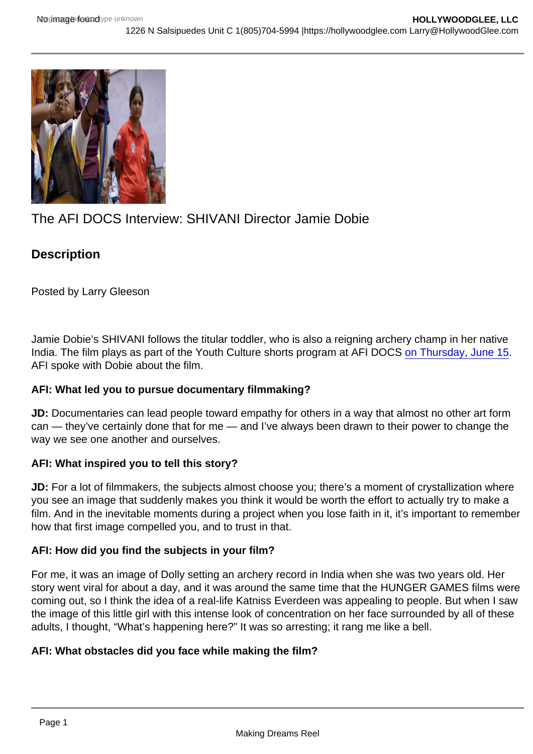# The AFI DOCS Interview: SHIVANI Director Jamie Dobie

**Description** 

Posted by Larry Gleeson

Jamie Dobie's SHIVANI follows the titular toddler, who is also a reigning archery champ in her native India. The film plays as part of the Youth Culture shorts program at AFI DOCS [on Thursday, June 15.](http://www.afi.com/afidocs/shorts.aspx#shivani) AFI spoke with Dobie about the film.

AFI: What led you to pursue documentary filmmaking?

JD: Documentaries can lead people toward empathy for others in a way that almost no other art form can — they've certainly done that for me — and I've always been drawn to their power to change the way we see one another and ourselves.

AFI: What inspired you to tell this story?

JD: For a lot of filmmakers, the subjects almost choose you; there's a moment of crystallization where you see an image that suddenly makes you think it would be worth the effort to actually try to make a film. And in the inevitable moments during a project when you lose faith in it, it's important to remember how that first image compelled you, and to trust in that.

AFI: How did you find the subjects in your film?

For me, it was an image of Dolly setting an archery record in India when she was two years old. Her story went viral for about a day, and it was around the same time that the HUNGER GAMES films were coming out, so I think the idea of a real-life Katniss Everdeen was appealing to people. But when I saw the image of this little girl with this intense look of concentration on her face surrounded by all of these adults, I thought, "What's happening here?" It was so arresting; it rang me like a bell.

AFI: What obstacles did you face while making the film?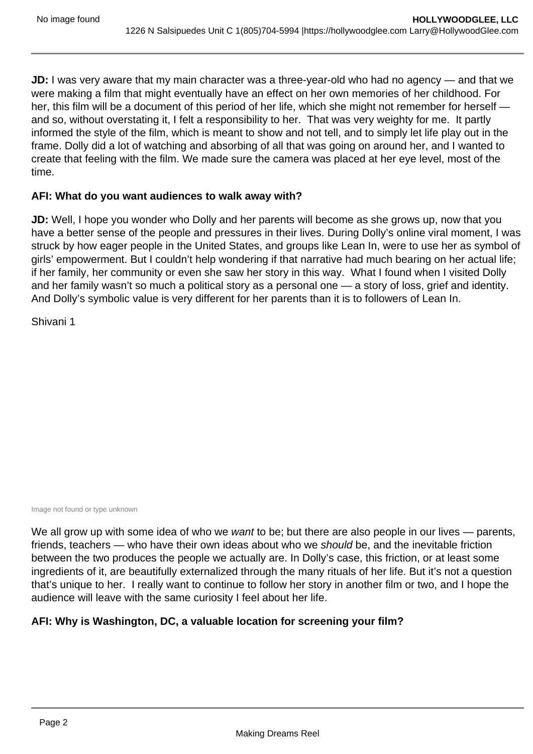**JD:** I was very aware that my main character was a three-year-old who had no agency — and that we were making a film that might eventually have an effect on her own memories of her childhood. For her, this film will be a document of this period of her life, which she might not remember for herself and so, without overstating it, I felt a responsibility to her. That was very weighty for me. It partly informed the style of the film, which is meant to show and not tell, and to simply let life play out in the frame. Dolly did a lot of watching and absorbing of all that was going on around her, and I wanted to create that feeling with the film. We made sure the camera was placed at her eye level, most of the time.

## **AFI: What do you want audiences to walk away with?**

**JD:** Well, I hope you wonder who Dolly and her parents will become as she grows up, now that you have a better sense of the people and pressures in their lives. During Dolly's online viral moment, I was struck by how eager people in the United States, and groups like Lean In, were to use her as symbol of girls' empowerment. But I couldn't help wondering if that narrative had much bearing on her actual life; if her family, her community or even she saw her story in this way. What I found when I visited Dolly and her family wasn't so much a political story as a personal one — a story of loss, grief and identity. And Dolly's symbolic value is very different for her parents than it is to followers of Lean In.

Shivani 1

Image not found or type unknown

We all grow up with some idea of who we want to be; but there are also people in our lives — parents, friends, teachers — who have their own ideas about who we should be, and the inevitable friction between the two produces the people we actually are. In Dolly's case, this friction, or at least some ingredients of it, are beautifully externalized through the many rituals of her life. But it's not a question that's unique to her. I really want to continue to follow her story in another film or two, and I hope the audience will leave with the same curiosity I feel about her life.

## **AFI: Why is Washington, DC, a valuable location for screening your film?**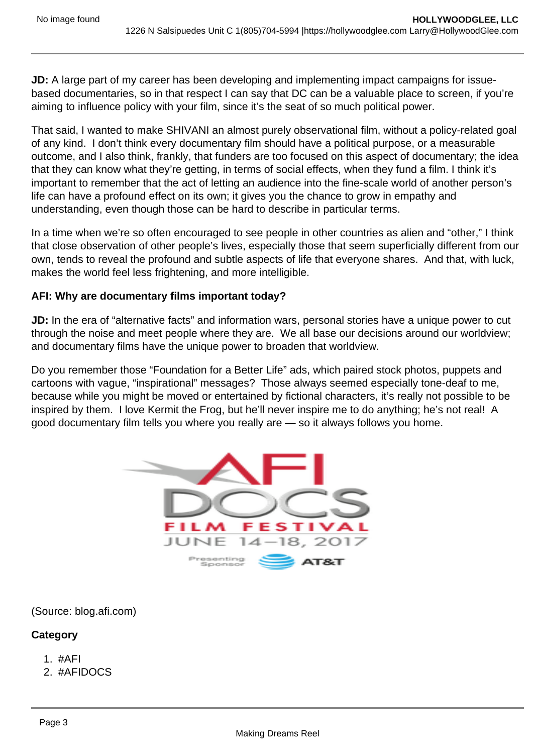**JD:** A large part of my career has been developing and implementing impact campaigns for issuebased documentaries, so in that respect I can say that DC can be a valuable place to screen, if you're aiming to influence policy with your film, since it's the seat of so much political power.

That said, I wanted to make SHIVANI an almost purely observational film, without a policy-related goal of any kind. I don't think every documentary film should have a political purpose, or a measurable outcome, and I also think, frankly, that funders are too focused on this aspect of documentary; the idea that they can know what they're getting, in terms of social effects, when they fund a film. I think it's important to remember that the act of letting an audience into the fine-scale world of another person's life can have a profound effect on its own; it gives you the chance to grow in empathy and understanding, even though those can be hard to describe in particular terms.

In a time when we're so often encouraged to see people in other countries as alien and "other," I think that close observation of other people's lives, especially those that seem superficially different from our own, tends to reveal the profound and subtle aspects of life that everyone shares. And that, with luck, makes the world feel less frightening, and more intelligible.

## **AFI: Why are documentary films important today?**

**JD:** In the era of "alternative facts" and information wars, personal stories have a unique power to cut through the noise and meet people where they are. We all base our decisions around our worldview; and documentary films have the unique power to broaden that worldview.

Do you remember those "Foundation for a Better Life" ads, which paired stock photos, puppets and cartoons with vague, "inspirational" messages? Those always seemed especially tone-deaf to me, because while you might be moved or entertained by fictional characters, it's really not possible to be inspired by them. I love Kermit the Frog, but he'll never inspire me to do anything; he's not real! A good documentary film tells you where you really are — so it always follows you home.



(Source: blog.afi.com)

## **Category**

- 1. #AFI
- 2. #AFIDOCS